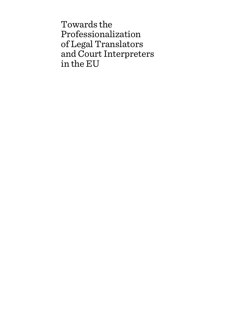Towards the Professionalization of Legal Translators and Court Interpreters in the EU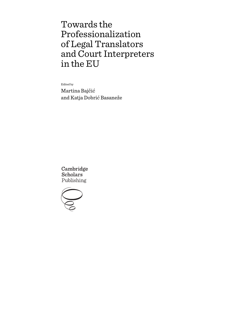# Towards the Professionalization of Legal Translators and Court Interpreters in the EU

Edited by

Martina Bajčić and Katja Dobrić Basaneže

Cambridge **Scholars** Publishing

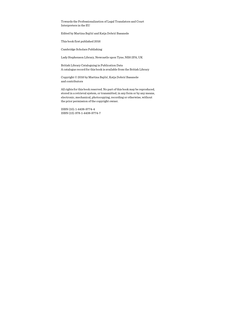Towards the Professionalization of Legal Translators and Court Interpreters in the EU

Edited by Martina Bajčić and Katja Dobrić Basaneže

This book first published 2016

Cambridge Scholars Publishing

Lady Stephenson Library, Newcastle upon Tyne, NE6 2PA, UK

British Library Cataloguing in Publication Data A catalogue record for this book is available from the British Library

Copyright © 2016 by Martina Bajčić, Katja Dobrić Basaneže and contributors

All rights for this book reserved. No part of this book may be reproduced, stored in a retrieval system, or transmitted, in any form or by any means, electronic, mechanical, photocopying, recording or otherwise, without the prior permission of the copyright owner.

ISBN (10): 1-4438-9774-4 ISBN (13): 978-1-4438-9774-7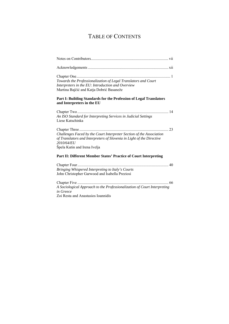# TABLE OF CONTENTS

| Towards the Professionalization of Legal Translators and Court<br>Interpreters in the EU: Introduction and Overview<br>Martina Bajčić and Katja Dobrić Basaneže<br>Part I: Building Standards for the Profession of Legal Translators<br>and Interpreters in the EU |
|---------------------------------------------------------------------------------------------------------------------------------------------------------------------------------------------------------------------------------------------------------------------|
| An ISO Standard for Interpreting Services in Judicial Settings<br>Liese Katschinka                                                                                                                                                                                  |
| 23<br>Challenges Faced by the Court Interpreter Section of the Association<br>of Translators and Interpreters of Slovenia in Light of the Directive<br>2010/64/EU<br>Špela Kutin and Irena Ivelja                                                                   |
| Part II: Different Member States' Practice of Court Interpreting                                                                                                                                                                                                    |
| Bringing Whispered Interpreting to Italy's Courts<br>John Christopher Garwood and Isabella Preziosi                                                                                                                                                                 |
| . 66<br>A Sociological Approach to the Professionalization of Court Interpreting                                                                                                                                                                                    |

*in Greece* 

Zoi Resta and Anastasios Ioannidis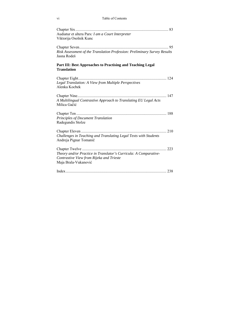| Audiatur et altera Pars: I am a Court Interpreter                         |  |
|---------------------------------------------------------------------------|--|
| Viktorija Osolnik Kunc                                                    |  |
|                                                                           |  |
|                                                                           |  |
| Risk Assessment of the Translation Profession: Preliminary Survey Results |  |
| Jasna Rodeš                                                               |  |
| Part III: Best Approaches to Practising and Teaching Legal                |  |
| <b>Translation</b>                                                        |  |
|                                                                           |  |
| Legal Translation: A View from Multiple Perspectives                      |  |
| Alenka Kocbek                                                             |  |
|                                                                           |  |
| A Multilingual Contrastive Approach to Translating EU Legal Acts          |  |
| Milica Gačić                                                              |  |
|                                                                           |  |
| Principles of Document Translation                                        |  |
| Radegundis Stolze                                                         |  |
|                                                                           |  |
| Challenges in Teaching and Translating Legal Texts with Students          |  |
| Andreja Pignar Tomanič                                                    |  |
|                                                                           |  |
|                                                                           |  |
| Theory and/or Practice in Translator's Curricula: A Comparative-          |  |
| Contrastive View from Rijeka and Trieste                                  |  |
| Maja Brala-Vukanović                                                      |  |
|                                                                           |  |
|                                                                           |  |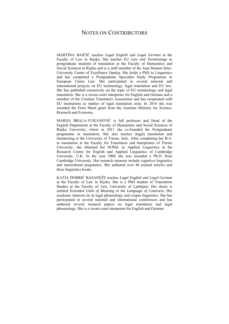### NOTES ON CONTRIBUTORS

MARTINA BAJČIĆ teaches *Legal English* and *Legal German* at the Faculty of Law in Rijeka. She teaches *EU Law and Terminology* to postgraduate students of translation at the Faculty of Humanities and Social Sciences in Rijeka and is a staff member of the Jean Monnet Inter-University Centre of Excellence Opatija. She holds a PhD in Linguistics and has completed a Postgraduate Specialist Study Programme in European Union Law. She participated in several national and international projects on EU terminology, legal translation and EU law. She has published extensively on the topic of EU terminology and legal translation. She is a sworn court interpreter for English and German and a member of the Croatian Translators Association and has cooperated with EU institutions as marker of legal translation tests. In 2014 she was awarded the Ernst Mach grant from the Austrian Ministry for Science, Research and Economy.

MARIJA BRALA-VUKANOVIĆ is full professor and Head of the English Department at the Faculty of Humanities and Social Sciences of Rijeka University, where in 2011 she co-founded the Postgraduate programme in translation. She also teaches (legal) translation and interpreting at the University of Trieste, Italy. After completing her B.A. in translation at the Faculty for Translators and Interpreters of Trieste University, she obtained her M.Phil. in Applied Linguistics at the Research Centre for English and Applied Linguistics of Cambridge University, U.K. In the year 2000 she was awarded a Ph.D. from Cambridge University. Her research interests include cognitive linguistics and intercultural pragmatics. She authored over 40 journal articles and three linguistics books.

KATJA DOBRIĆ BASANEŽE teaches *Legal English* and *Legal German* at the Faculty of Law in Rijeka. She is a PhD student of Translation Studies at the Faculty of Arts, University of Ljubljana. Her thesis is entitled *Extended Units of Meaning in the Language of Contracts*. Her academic interests lie in legal phraseology and corpus linguistics. She has participated in several national and international conferences and has authored several research papers on legal translation and legal phraseology. She is a sworn court interpreter for English and German.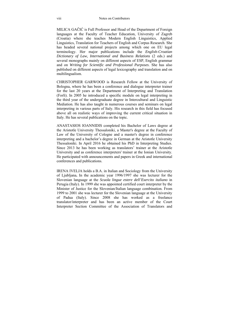MILICA GAČIĆ is Full Professor and Head of the Department of Foreign languages at the Faculty of Teacher Education, University of Zagreb (Croatia) where she teaches Modern English Linguistics, Applied Linguistics, Translation for Teachers of English and Corpus Research. She has headed several national projects among which one on EU legal terminology. Her major publications include the *English-Croatian Dictionary of Law, International and Business Relations* (2 eds.) and several monographs mainly on different aspects of ESP, English grammar and on *Writing for Scientific and Professional Purposes*. She has also published on different aspects of legal lexicography and translation and on multilingualism.

CHRISTOPHER GARWOOD is Research Fellow at the University of Bologna, where he has been a conference and dialogue interpreter trainer for the last 20 years at the Department of Interpreting and Translation (Forlì). In 2005 he introduced a specific module on legal interpreting in the third year of the undergraduate degree in Intercultural and Linguistic Mediation. He has also taught in numerous courses and seminars on legal interpreting in various parts of Italy. His research in this field has focused above all on realistic ways of improving the current critical situation in Italy. He has several publications on the topic.

ANASTASIOS IOANNIDIS completed his Bachelor of Laws degree at the Aristotle University Thessaloniki, a Master's degree at the Faculty of Law of the University of Cologne and a master's degree in conference interpreting and a bachelor's degree in German at the Aristotle University Thessaloniki. In April 2016 he obtained his PhD in Interpreting Studies. Since 2013 he has been working as translators' trainer at the Aristotle University and as conference interpreters' trainer at the Ionian University. He participated with announcements and papers in Greek and international conferences and publications.

IRENA IVELJA holds a B.A. in Italian and Sociology from the University of Ljubljana**.** In the academic year 1996/1997 she was lecturer for the Slovenian language at the *Scuola lingue estere dell'Esercito italiano* in Perugia (Italy). In 1999 she was appointed certified court interpreter by the Minister of Justice for the Slovenian/Italian language combination. From 1999 to 2001 she was lecturer for the Slovenian language at the University of Padua (Italy). Since 2008 she has worked as a freelance translator/interpreter and has been an active member of the Court Interpreter Section Committee of the Association of Translators and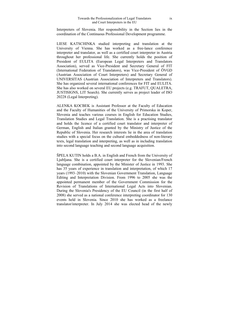Interpreters of Slovenia. Her responsibility in the Section lies in the coordination of the Continuous Professional Development programme.

LIESE KATSCHINKA studied interpreting and translation at the University of Vienna. She has worked as a free-lance conference interpreter and translator, as well as a certified court interpreter in Austria throughout her professional life. She currently holds the position of President of EULITA (European Legal Interpreters and Translators Association), served as Vice-President and Secretary General of FIT (International Federation of Translators), was Vice-President of ÖVGD (Austrian Association of Court Interpreters) and Secretary General of UNIVERSITAS (Austrian Association of Interpreters and Translators). She has organized several international conferences for FIT and EULITA. She has also worked on several EU projects (e.g. TRAFUT, OUALETRA, JUSTISIGNS, LIT Search). She currently serves as project leader of ISO 20228 (Legal Interpreting).

ALENKA KOCBEK is Assistant Professor at the Faculty of Education and the Faculty of Humanities of the University of Primorska in Koper, Slovenia and teaches various courses in English for Education Studies, Translation Studies and Legal Translation. She is a practising translator and holds the licence of a certified court translator and interpreter of German, English and Italian granted by the Ministry of Justice of the Republic of Slovenia. Her research interests lie in the area of translation studies with a special focus on the cultural embeddedness of non-literary texts, legal translation and interpreting, as well as in including translation into second language teaching and second language acquisition.

ŠPELA KUTIN holds a B.A. in English and French from the University of Ljubljana. She is a certified court interpreter for the Slovenian/French language combination, appointed by the Minister of Justice in 1993. She has 35 years of experience in translation and interpretation, of which 17 years (1993–2010) with the Slovenian Government Translation, Language Editing and Interpretation Division. From 1996 to 2005 she was the appointed permanent member of the Government Commission for the Revision of Translations of International Legal Acts into Slovenian. During the Slovenia's Presidency of the EU Council (in the first half of 2008) she served as a national conference interpreting coordinator for 130 events held in Slovenia. Since 2010 she has worked as a freelance translator/interpreter. In July 2014 she was elected head of the newly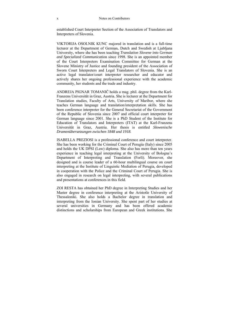established Court Interpreter Section of the Association of Translators and Interpreters of Slovenia.

VIKTORIJA OSOLNIK KUNC majored in translation and is a full-time lecturer at the Department of German, Dutch and Swedish at Ljubljana University, where she has been teaching *Translation Slovene into German and Specialized Communicati*on since 1998. She is an appointed member of the Court Interpreters Examination Committee for German at the Slovene Ministry of Justice and founding president of the Association of Sworn Court Interpreters and Legal Translators of Slovenia. She is an active legal translator/court interpreter researcher and educator and actively shares her ongoing professional experience with the academic community, her students and the trade and industry.

ANDREJA PIGNAR TOMANIČ holds a mag. phil. degree from the Karl-Franzens Universität in Graz, Austria. She is lecturer at the Department for Translation studies, Faculty of Arts, University of Maribor, where she teaches German language and translation/interpretation skills. She has been conference interpreter for the General Secretariat of the Government of the Republic of Slovenia since 2007 and official court interpreter for German language since 2001. She is a PhD Student of the Institute for Education of Translators and Interpreters (ITAT) at the Karl-Franzens Universität in Graz, Austria. Her thesis is entitled *Slowenische Dramenübersetzungen zwischen 1848 und 1918.*

ISABELLA PREZIOSI is a professional conference and court interpreter. She has been working for the Criminal Court of Perugia (Italy) since 2005 and holds the UK DPSI (Law) diploma. She also has more than ten years experience in teaching legal interpreting at the University of Bologna's Department of Interpreting and Translation (Forlì). Moreover, she designed and is course leader of a 60-hour multilingual course on court interpreting at the Institute of Linguistic Mediation of Perugia, developed in cooperation with the Police and the Criminal Court of Perugia. She is also engaged in research on legal interpreting, with several publications and presentations at conferences in this field.

ZOI RESTA has obtained her PhD degree in Interpreting Studies and her Master degree in conference interpreting at the Aristotle University of Thessaloniki. She also holds a Bachelor degree in translation and interpreting from the Ionian University. She spent part of her studies at several universities in Germany and has been offered academic distinctions and scholarships from European and Greek institutions. She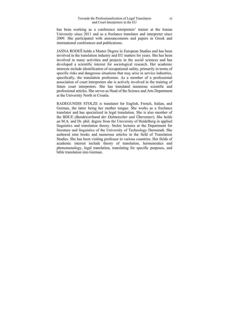has been working as a conference interpreters' trainer at the Ionian University since 2011 and as a freelance translator and interpreter since 2009. She participated with announcements and papers in Greek and international conferences and publications.

JASNA RODEŠ holds a Master Degree in European Studies and has been involved in the translation industry and EU matters for years. She has been involved in many activities and projects in the social sciences and has developed a scientific interest for sociological research. Her academic interests include identification of occupational safety, primarily in terms of specific risks and dangerous situations that may arise in service industries, specifically, the translation profession. As a member of a professional association of court interpreters she is actively involved in the training of future court interpreters. She has translated numerous scientific and professional articles. She serves as Head of the Science and Arts Department at the University North in Croatia.

RADEGUNDIS STOLZE is translator for English, French, Italian, and German, the latter being her mother tongue. She works as a freelance translator and has specialized in legal translation. She is also member of the BDUE (*Bundesverband der Dolmetscher und Übersetzer*). She holds an M.A. and Dr. phil. degree from the University of Heidelberg in applied linguistics and translation theory. Stolze lectures at the Department for literature and linguistics of the University of Technology Darmstadt. She authored nine books and numerous articles in the field of Translation Studies. She has been visiting professor in various countries. Her fields of academic interest include theory of translation, hermeneutics and phenomenology, legal translation, translating for specific purposes, and bible translation into German.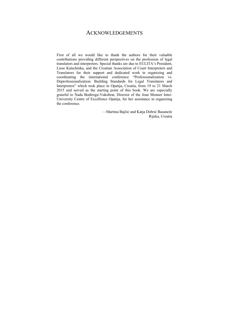### ACKNOWLEDGEMENTS

First of all we would like to thank the authors for their valuable contributions providing different perspectives on the profession of legal translators and interpreters. Special thanks are due to EULITA's President, Liese Katschinka, and the Croatian Association of Court Interpreters and Translators for their support and dedicated work in organizing and coordinating the international conference "Professionalization vs. Deprofessionalization: Building Standards for Legal Translators and Interpreters" which took place in Opatija, Croatia, from 19 to 21 March 2015 and served as the starting point of this book. We are especially grateful to Nada Bodiroga-Vukobrat, Director of the Jean Monnet Inter-University Centre of Excellence Opatija, for her assistance in organizing the conference.

> —Martina Bajčić and Katja Dobrić Basaneže Rijeka, Croatia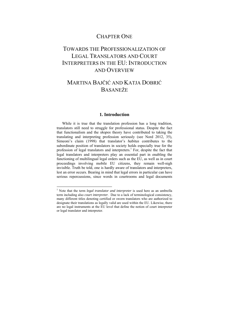### CHAPTER ONE

# TOWARDS THE PROFESSIONALIZATION OF LEGAL TRANSLATORS AND COURT INTERPRETERS IN THE EU<sup>.</sup> INTRODUCTION AND OVERVIEW

## MARTINA BAJČIĆ AND KATJA DOBRIĆ BASANEŽE

#### **1. Introduction**

While it is true that the translation profession has a long tradition, translators still need to struggle for professional status. Despite the fact that functionalism and the *skopos* theory have contributed to taking the translating and interpreting profession seriously (see Nord 2012, 35), Simeoni's claim (1998) that translator's *habitus* contributes to the subordinate position of translators in society holds especially true for the profession of legal translators and interpreters.<sup>1</sup> For, despite the fact that legal translators and interpreters play an essential part in enabling the functioning of multilingual legal orders such as the EU, as well as in court proceedings involving mobile EU citizens, they remain well-nigh invisible. Truth be told, one is hardly aware of translators and interpreters, lest an error occurs. Bearing in mind that legal errors in particular can have serious repercussions, since words in courtrooms and legal documents

1

<sup>&</sup>lt;sup>1</sup> Note that the term *legal translator and interpreter* is used here as an umbrella term including also *court interpreter*. Due to a lack of terminological consistency, many different titles denoting certified or sworn translators who are authorized to designate their translations as legally valid are used within the EU. Likewise, there are no legal instruments at the EU level that define the notion of court interpreter or legal translator and interpreter.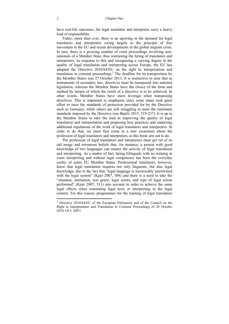have real-life outcomes, the legal translator and interpreter carry a heavy load of responsibility.

Today, more than ever, there is an upswing in the demand for legal translators and interpreters owing largely to the principle of free movement in the EU and recent developments in the global migrant crisis. In turn, there is a growing number of court proceedings involving nonnationals of a Member State, thus warranting the hiring of translators and interpreters. In response to this and recognizing a varying degree in the quality of legal translation and interpreting across Europe, the EU has adopted the Directive 2010/64/EU on the right to interpretation and translation in criminal proceedings.<sup>2</sup> The deadline for its transposition by the Member States was 27 October 2013. It is instructive to note that as instruments of secondary law, directives must be transposed into national legislation, whereas the Member States have the choice of the form and method by means of which the result of a directive is to be achieved. In other words, Member States have more leverage when transposing directives. This is important to emphasize since some states took great effort to raise the standards of protection provided for by the Directive such as Germany, while others are still struggling to meet the minimum standards imposed by the Directive (see Bajčić 2015, 219-237). It is up to the Member States to take the lead in improving the quality of legal translation and interpretation and proposing best practices and endorsing additional regulations of the work of legal translators and interpreters. In order to do that, we must first come to a new awareness about the profession of legal translators and interpreters, as this book sets out to do. The profession of legal translators and interpreters must get rid of its

old image and erroneous beliefs that, for instance, a person with good knowledge of two languages can master the activity of legal translation and interpreting. As a matter of fact, hiring bilinguals with no training in court interpreting and without legal competence has been the everyday reality of some EU Member States. Professional translators, however, know that legal translation requires not only linguistic, but also legal knowledge, due to the fact that "legal language is inextricably intertwined with the legal system" (Kjær 2007, 508) and there is a need to take the "situation, institution, text genre, legal actors, and type of legal action performed" (Kjær 2007, 511) into account in order to achieve the same legal effects when translating legal texts or interpreting in the legal context. For this reason, programmes for the training of legal translators

 $\ddot{\phantom{a}}$ 

<sup>&</sup>lt;sup>2</sup> Directive 2010/64/EU of the European Parliament and of the Council on the Right to Interpretation and Translation in Criminal Proceedings of 20 October 2010, OJ L 280/1.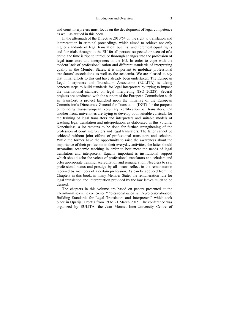and court interpreters must focus on the development of legal competence as well, as argued in this book.

In the aftermath of the Directive 2010/64 on the right to translation and interpretation in criminal proceedings, which aimed to achieve not only higher standards of legal translation, but first and foremost equal rights and fair trials throughout the EU for all persons suspected or accused of a crime, the time is ripe to introduce thorough changes into the profession of legal translators and interpreters in the EU. In order to cope with the evident lack of professionalization and different standards of interpreting quality in the Member States, it is important to mobilize professional translators' associations as well as the academia. We are pleased to say that initial efforts to this end have already been undertaken. The European Legal Interpreters and Translators Association (EULITA) is taking concrete steps to build standards for legal interpreters by trying to impose the international standard on legal interpreting (ISO 20228). Several projects are conducted with the support of the European Commission such as TransCert, a project launched upon the initiative of the European Commission's Directorate General for Translation (DGT) for the purpose of building trans-European voluntary certification of translators. On another front, universities are trying to develop both suitable curricula for the training of legal translators and interpreters and suitable models of teaching legal translation and interpretation, as elaborated in this volume. Nonetheless, a lot remains to be done for further strengthening of the profession of court interpreters and legal translators. The latter cannot be achieved without joint efforts of professional translators and scholars. While the former have the opportunity to raise the awareness about the importance of their profession in their everyday activities, the latter should streamline academic teaching in order to best meet the needs of legal translators and interpreters. Equally important is institutional support which should echo the voices of professional translators and scholars and offer appropriate training, accreditation and remuneration. Needless to say, professional status and prestige by all means reflect in the remuneration received by members of a certain profession. As can be adduced from the Chapters in this book, in many Member States the remuneration rate for legal translation and interpretation provided by the law leaves much to be desired.

The chapters in this volume are based on papers presented at the international scientific conference "Professionalization vs. Deprofessionalization: Building Standards for Legal Translators and Interpreters" which took place in Opatija, Croatia from 19 to 21 March 2015. The conference was organized by EULITA, the Jean Monnet Inter-University Centre of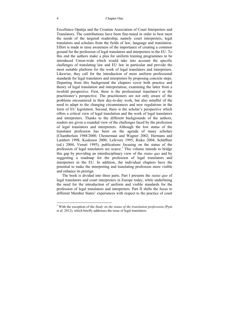Excellence Opatija and the Croatian Association of Court Interpreters and Translators. The contributions have been fine-tuned in order to best meet the needs of the targeted readership, namely court interpreters, legal translators and scholars from the fields of law, language and translation. Effort is made to raise awareness of the importance of creating a common ground for the profession of legal translators and interpreters in the EU. To this end the authors make a plea for uniform training programmes to be introduced Union-wide which would take into account the specific challenges of translating law and EU law in particular and provide the most suitable platform for the work of legal translators and interpreters. Likewise, they call for the introduction of more uniform professional standards for legal translators and interpreters by proposing concrete steps. Departing from this background the chapters cover both practice and theory of legal translation and interpretation, examining the latter from a twofold perspective. First, there is the professional translator's or the practitioner's perspective. The practitioners are not only aware of the problems encountered in their day-to-day work, but also mindful of the need to adapt to the changing circumstances and new regulations in the form of EU legislation. Second, there is the scholar's perspective which offers a critical view of legal translation and the work of legal translators and interpreters. Thanks to the different backgrounds of the authors, readers are given a rounded view of the challenges faced by the profession of legal translators and interpreters. Although the low status of the translator profession has been on the agenda of many scholars (Chamberlain 1988/2000; Chesterman and Wagner 2002; Hermans and Lambert 1998; Koskinen 2000; Lefevere 1995; Risku 2004; Schäffner (ed.) 2004; Venuti 1995), publications focusing on the status of the profession of legal translators are scarce.<sup>3</sup> This volume intends to bridge this gap by providing an interdisciplinary view of the *status quo* and by suggesting a roadmap for the profession of legal translators and interpreters in the EU. In addition, the individual chapters have the potential to make the interpreting and translating profession more visible and enhance its prestige.

The book is divided into three parts. Part I presents the *status quo* of legal translators and court interpreters in Europe today, while underlining the need for the introduction of uniform and visible standards for the profession of legal translators and interpreters. Part II shifts the focus to different Member States' experiences with respect to the practice of court

 $\overline{a}$ 

<sup>3</sup> With the exception of the *Study on the status of the translation professsion* (Pym et al. 2012), which briefly addresses the issue of legal translators.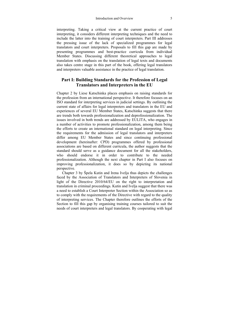interpreting. Taking a critical view at the current practice of court interpreting, it considers different interpreting techniques and the need to include the latter into the training of court interpreters. Part III addresses the pressing issue of the lack of specialized programmes for legal translators and court interpreters. Proposals to fill this gap are made by presenting programmes and best-practice curricula from individual Member States. Discussing different theoretical approaches to legal translation with emphasis on the translation of legal texts and documents also takes centre stage in this part of the book, offering legal translators and interpreters valuable assistance in the practice of legal translation.

#### **Part I: Building Standards for the Profession of Legal Translators and Interpreters in the EU**

Chapter 2 by Liese Katschinka places emphasis on raising standards for the profession from an international perspective. It therefore focuses on an ISO standard for interpreting services in judicial settings. By outlining the current state of affairs for legal interpreters and translators in the EU and experiences of several EU Member States, Katschinka suggests that there are trends both towards professionalization and deprofessionalization. The issues involved in both trends are addressed by EULITA, who engages in a number of activities to promote professionalization, among them being the efforts to create an international standard on legal interpreting. Since the requirements for the admission of legal translators and interpreters differ among EU Member States and since continuing professional development (hereinafter: CPD) programmes offered by professional associations are based on different curricula, the author suggests that the standard should serve as a guidance document for all the stakeholders, who should endorse it in order to contribute to the needed professionalization. Although the next chapter in Part I also focuses on improving professionalization, it does so by depicting its national perspective.

Chapter 3 by Špela Kutin and Irena Ivelja thus depicts the challenges faced by the Association of Translators and Interpreters of Slovenia in light of the Directive 2010/64/EU on the right to interpretation and translation in criminal proceedings. Kutin and Ivelja suggest that there was a need to establish a Court Interpreter Section within the Association so as to comply with the requirements of the Directive with regard to the quality of interpreting services. The Chapter therefore outlines the efforts of the Section to fill this gap by organising training courses tailored to suit the needs of court interpreters and legal translators. By cooperating with legal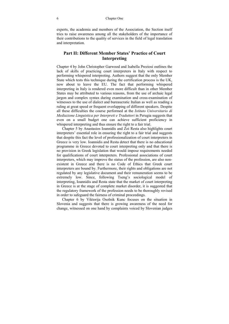experts, the academia and members of the Association, the Section itself tries to raise awareness among all the stakeholders of the importance of their contributions to the quality of services in the field of legal translation and interpretation.

#### **Part II: Different Member States' Practice of Court Interpreting**

Chapter 4 by John Christopher Garwood and Isabella Preziosi outlines the lack of skills of practicing court interpreters in Italy with respect to performing whispered interpreting. Authors suggest that the only Member State which tests this technique during the certification process is the UK, now about to leave the EU. The fact that performing whispered interpreting in Italy is rendered even more difficult than in other Member States may be attributed to various reasons, from the use of archaic legal jargon and complex syntax during examination and cross-examination of witnesses to the use of dialect and bureaucratic Italian as well as reading a ruling at great speed or frequent overlapping of different speakers. Despite all these difficulties the course performed at the *Istituto Universitario di Mediazione Linguistica per Interpreti e Traduttori* in Perugia suggests that even on a small budget one can achieve sufficient proficiency in whispered interpreting and thus ensure the right to a fair trial.

Chapter 5 by Anastasios Ioannidis and Zoi Resta also highlights court interpreters' essential role in ensuring the right to a fair trial and suggests that despite this fact the level of professionalization of court interpreters in Greece is very low. Ioannidis and Resta detect that there is no educational programme in Greece devoted to court interpreting only and that there is no provision in Greek legislation that would impose requirements needed for qualifications of court interpreters. Professional associations of court interpreters, which may improve the status of the profession, are also nonexistent in Greece and there is no Code of Ethics that Greek court interpreters are bound by. Furthermore, their rights and obligations are not regulated by any legislative document and their remuneration seems to be extremely low. Since, following Tseng's sociological model of interpreting, Ioannidis and Resta state that the market of court interpreting in Greece is at the stage of complete market disorder, it is suggested that the regulatory framework of the profession needs to be thoroughly revised in order to safeguard the fairness of criminal proceedings.

Chapter 6 by Viktorija Osolnik Kunc focuses on the situation in Slovenia and suggests that there is growing awareness of the need for change, witnessed on one hand by complaints voiced by Slovenian judges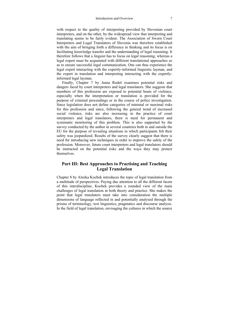with respect to the quality of interpreting provided by Slovenian court interpreters, and on the other, by the widespread view that interpreting and translating seems to be fairly evident. The Association of Sworn Court Interpreters and Legal Translators of Slovenia was therefore established with the aim of bringing forth a difference in thinking and its focus is on facilitating knowledge transfer and the understanding of legal reasoning. It therefore follows that a linguist has to focus on legal reasoning, whereas a legal expert must be acquainted with different translational approaches so as to ensure successful legal communication. One can thus experience the legal expert interacting with the expertly-informed linguistic layman, and the expert in translation and interpreting interacting with the expertlyinformed legal layman.

Finally, Chapter 7 by Jasna Rodeš examines potential risks and dangers faced by court interpreters and legal translators. She suggests that members of this profession are exposed to potential bouts of violence, especially when the interpretation or translation is provided for the purpose of criminal proceedings or in the course of police investigation. Since legislation does not define categories of minimal or maximal risks for this profession and since, following the general trend of increased social violence, risks are also increasing in the practice of court interpreters and legal translators, there is need for permanent and systematic monitoring of this problem. This is also supported by the survey conducted by the author in several countries both in and outside the EU for the purpose of revealing situations in which participants felt their safety was jeopardized. Results of the survey clearly suggest that there is need for introducing new techniques in order to improve the safety of the profession. Moreover, future court interpreters and legal translators should be instructed on the potential risks and the ways they may protect themselves.

#### **Part III: Best Approaches to Practising and Teaching Legal Translation**

Chapter 8 by Alenka Kocbek introduces the topic of legal translation from a multitude of perspectives. Paying due attention to all the different facets of this interdiscipline, Kocbek provides a rounded view of the main challenges of legal translation in both theory and practice. She makes the point that legal translators must take into consideration the multiple dimensions of language reflected in and potentially analysed through the prisms of terminology, text linguistics, pragmatics and discourse analysis. In the field of legal translation, envisaging the cultures in which the source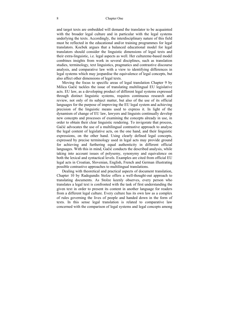and target texts are embedded will demand the translator to be acquainted with the broader legal culture and in particular with the legal systems underlying the texts. Accordingly, the interdisciplinary nature of this field must be reflected in the educational and/or training programmes for legal translators. Kocbek argues that a balanced educational model for legal translators should consider the linguistic dimensions of legal texts and their extra-linguistic, i.e. legal aspects as well. Her cultureme-based model combines insights from work in several disciplines, such as translation studies, terminology, text linguistics, pragmatics and contrastive discourse analysis, and comparative law with a view to identifying differences in legal systems which may jeopardise the equivalence of legal concepts, but also affect other dimensions of legal texts.

Moving the focus to specific areas of legal translation Chapter 9 by Milica Gačić tackles the issue of translating multilingual EU legislative acts. EU law, as a developing product of different legal systems expressed through distinct linguistic systems, requires continuous research and review, not only of its subject matter, but also of the use of its official languages for the purpose of improving the EU legal system and achieving precision of the linguistic means used to express it. In light of the dynamism of change of EU law, lawyers and linguists continually develop new concepts and processes of examining the concepts already in use, in order to obtain their clear linguistic rendering. To invigorate that process, Gačić advocates the use of a multilingual contrastive approach to analyse the legal content of legislative acts, on the one hand, and their linguistic expressions, on the other hand. Using clearly defined legal concepts, expressed by precise terminology used in legal acts may provide ground for achieving and furthering equal authenticity in different official languages. With this in mind, Gačić conducts the described analysis, while taking into account issues of polysemy, synonymy and equivalence on both the lexical and syntactical levels. Examples are cited from official EU legal acts in Croatian, Slovenian, English, French and German illustrating possible contrastive approaches to multilingual translations.

Dealing with theoretical and practical aspects of document translation, Chapter 10 by Radegundis Stolze offers a well-thought-out approach to translating documents. As Stolze keenly observes, every person who translates a legal text is confronted with the task of first understanding the given text in order to present its content in another language for readers from a different legal culture. Every culture has its own law as a complex of rules governing the lives of people and handed down in the form of texts. In this sense legal translation is related to comparative law concerned with the comparison of legal systems and legal concepts among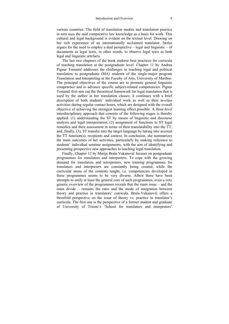various countries. The field of translation studies and translation practice in turn uses the said comparative law knowledge as a basis for work. This cultural and legal background is evident on the textual level. Drawing on her rich experience of an internationally acclaimed translator, Stolze argues for the need to employ a dual perspective  $-$  legal and linguistic  $-$  of documents as legal texts, in other words, to observe legal texts as both legal and linguistic artefacts.

The last two chapters of the book endorse best practices for curricula of teaching translation at the postgraduate level. Chapter 11 by Andrea Pignar Tomanič addresses the challenges in teaching legal and political translation to postgraduate (MA) students of the single-major program Translation and Interpreting at the Faculty of Arts, University of Maribor. The principal objectives of the course are to promote general linguistic competence and to advance specific subject-related competencies. Pignar Tomanič first sets out the theoretical framework for legal translation that is used by the author in her translation classes; it continues with a brief description of both students' individual work as well as their in-class activities during regular contact hours, which are designed with the overall objective of achieving the strongest learning effect possible. A three-level interdisciplinary approach that consists of the following stages is thereby applied: (1) understanding the ST by means of linguistic and discourse analysis and legal interpretation; (2) assignment of functions to ST legal remedies and their assessment in terms of their translatability into the TT; and, finally, (3), ST transfer into the target language by taking into account the TT function(s), recipients and context. In conclusion, she summarizes the main outcomes of her activities, particularly by making reference to students' individual seminar assignments, with the aim of identifying and presenting prospective new approaches to teaching legal translation.

Finally, Chapter 12 by Marija Brala-Vukanović focuses on postgraduate programmes for translators and interpreters. To cope with the growing demand for translators and interpreters, new training programmes for translators and interpreters are constantly being created, while the curricular arena of the contents taught, i.e. competencies developed in these programmes seems to be very diverse. Albeit there have been attempts to unify at least the general core of such programmes, even a very generic overview of the programmes reveals that the main issue – and the main divide – remains the ratio and the mode of integration between theory and practice in translators' curricula. Brala-Vukanović offers a threefold perspective on the issue of theory vs. practice in translator's curricula. The first one is the perspective of a former student and graduate of University of Trieste's 'School for translators and interpreters'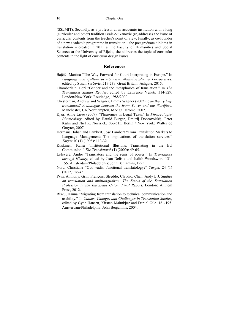(SSLMIT). Secondly, as a professor at an academic institution with a long (curricular and other) tradition Brala-Vukanović (re)addresses the issue of curricular contents from the teacher's point of view. Finally, as co-founder of a new academic programme in translation – the postgraduate diploma in translation – created in 2011 at the Faculty of Humanities and Social Sciences at the University of Rijeka, she addresses the topic of curricular contents in the light of curricular design issues.

#### **References**

- Bajčić, Martina "The Way Forward for Court Interpreting in Europe." In *Language and Culture in EU Law: Multidisciplinary Perspectives*, edited by Susan Šarčević, 219-239. Great Britain: Ashgate, 2015.
- Chamberlain, Lori "Gender and the metaphorics of translation." In *The Translation Studies Reader*, edited by Lawrence Venuti, 314-329. London/New York: Routledge, 1988/2000.
- Chesterman, Andrew and Wagner, Emma Wagner (2002). *Can theory help translators? A dialogue between the Ivory Tower and the Wordface*. Manchester, UK/Northampton, MA: St. Jerome, 2002.
- Kjær, Anne Liese (2007). "Phrasemes in Legal Texts." In *Phraseologie/ Phraseology*, edited by Harald Burger, Dmitrij Dobrovolskij, Peter Kühn and Niel R. Noerrick, 506-515. Berlin / New York: Walter de Gruyter, 2007.
- Hermans, Johan and Lambert, José Lambert "From Translation Markets to Language Management: The implications of translation services." *Target* 10 (1) (1998): 113-32.
- Koskinen, Kaisa "Institutional Illusions. Translating in the EU Commission." *The Translator* 6 (1) (2000): 49-65.
- Lefevere, André "Translators and the reins of power." In *Translators through History*, edited by Jean Delisle and Judith Woodswort. 131- 155. Amsterdam/Philadelphia: John Benjamins, 1995.
- Nord, Christiane "Quo vadis, functional translatology?" *Target*, 24 (1) (2012): 26-43.
- Pym, Anthony, Grin, Franҫois, Sfreddo, Claudio, Chan, Andy L.J. *Studies on translation and multilingualism. The Status of the Translation Profession in the European Union. Final Report*. London: Anthem Press, 2012.
- Risku, Hanna "Migrating from translation to technical communication and usability." In *Claims, Changes and Challenges in Translation Studies*, edited by Gyde Hansen, Kirsten Malmkjær and Daniel Gile. 181-195. Amsterdam/Philadelphia: John Benjamins, 2004.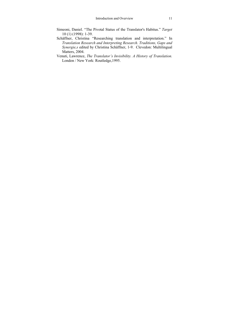- Simeoni, Daniel. "The Pivotal Status of the Translator's Habitus." *Target* 10 (1) (1998): 1-39.
- Schäffner, Christina "Researching translation and interpretation." In *Translation Research and Interpreting Research. Traditions, Gaps and Synergie,s* edited by Christina Schäffner, 1-9. Clevedon: Multilingual Matters, 2004.
- Venuti, Lawrence, *The Translator's Invisibility. A History of Translation.* London / New York: Routledge,1995.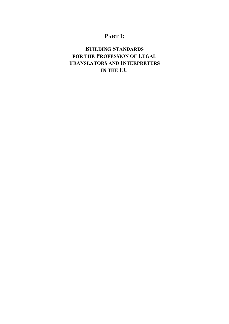# **PART I:**

# **BUILDING STANDARDS FOR THE PROFESSION OF LEGAL TRANSLATORS AND INTERPRETERS IN THE EU**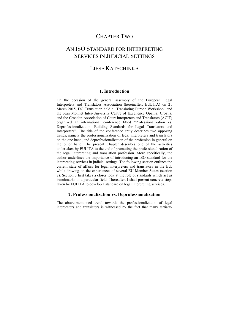### CHAPTER TWO

### AN ISO STANDARD FOR INTERPRETING SERVICES IN JUDICIAL SETTINGS

### LIESE KATSCHINKA

#### **1. Introduction**

On the occasion of the general assembly of the European Legal Interpreters and Translators Association (hereinafter: EULITA) on 21 March 2015, DG Translation held a "Translating Europe Workshop" and the Jean Monnet Inter-University Centre of Excellence Opatija, Croatia, and the Croatian Association of Court Interpreters and Translators (ACIT) organized an international conference titled "Professionalization vs. Deprofessionalization: Building Standards for Legal Translators and Interpreters". The title of the conference aptly describes two opposing trends, namely the professionalization of legal interpreters and translators on the one hand, and deprofessionalization of the profession in general on the other hand. The present Chapter describes one of the activities undertaken by EULITA to the end of promoting the professionalization of the legal interpreting and translation profession. More specifically, the author underlines the importance of introducing an ISO standard for the interpreting services in judicial settings. The following section outlines the current state of affairs for legal interpreters and translators in the EU, while drawing on the experiences of several EU Member States (section 2). Section 3 first takes a closer look at the role of standards which act as benchmarks in a particular field. Thereafter, I shall present concrete steps taken by EULITA to develop a standard on legal interpreting services.

#### **2. Professionalization vs. Deprofessionalization**

The above-mentioned trend towards the professionalization of legal interpreters and translators is witnessed by the fact that many tertiary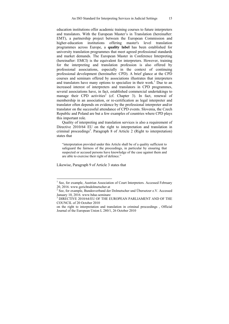education institutions offer academic training courses to future interpreters and translators. With the European Master's in Translation (hereinafter: EMT), a partnership project between the European Commission and higher-education institutions offering master's level translation institutions offering master's level translation programmes across Europe, a **quality label** has been established for university translation programmes that meet agreed professional standards and market demands. The European Master in Conference Interpreting (hereinafter: EMCI) is the equivalent for interpreters. However, training for the interpreting and translation profession is also offered by professional associations, especially in the context of continuing professional development (hereinafter: CPD). A brief glance at the CPD courses and seminars offered by associations illustrates that interpreters and translators have many options to specialize in their work.<sup>1</sup> Due to an increased interest of interpreters and translators in CPD programmes, several associations have, in fact, established commercial undertakings to manage their CPD activities<sup>2</sup> (cf. Chapter 3). In fact, renewal of membership in an association, or re-certification as legal interpreter and translator often depends on evidence by the professional interpreter and/or translator on the successful attendance of CPD events. Slovenia, the Czech Republic and Poland are but a few examples of countries where CPD plays this important role.

Quality of interpreting and translation services is also a requirement of Directive 2010/64 EU on the right to interpretation and translation in criminal proceedings<sup>3</sup>. Paragraph 8 of Article 2 (Right to interpretation) states that

"interpretation provided under this Article shall be of a quality sufficient to safeguard the fairness of the proceedings, in particular by ensuring that suspected or accused persons have knowledge of the case against them and are able to exercise their right of defence."

Likewise, Paragraph 9 of Article 3 states that

 1 See, for example, Austrian Association of Court Interpreters. Accessed February 20, 2016. www.gerichtsdolmetscher.at

<sup>2</sup> See, for example, Bundesverband der Dolmetscher und Übersetzer e.V. Accessed January 10, 2016. www.bdue.seminare

<sup>3</sup> DIRECTIVE 2010/64/EU OF THE EUROPEAN PARLIAMENT AND OF THE COUNCIL of 20 October 2010

on the right to interpretation and translation in criminal proceedings , Official Journal of the European Union L 280/1, 26 October 2010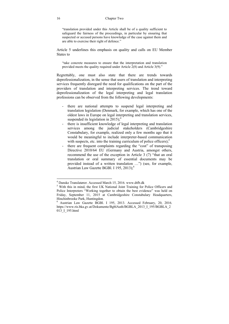"translation provided under this Article shall be of a quality sufficient to safeguard the fairness of the proceedings, in particular by ensuring that suspected or accused persons have knowledge of the case against them and are able to exercise their right of defence."

Article 5 underlines this emphasis on quality and calls on EU Member States to

"take concrete measures to ensure that the interpretation and translation provided meets the quality required under Article 2(8) and Article 3(9)."

Regrettably, one must also state that there are trends towards deprofessionalization, in the sense that users of translation and interpreting services frequently disregard the need for qualifications on the part of the providers of translation and interpreting services. The trend toward deprofessionalization of the legal interpreting and legal translation professions can be observed from the following developments:

- there are national attempts to suspend legal interpreting and translation legislation (Denmark, for example, which has one of the oldest laws in Europe on legal interpreting and translation services, suspended its legislation in  $2015$ ;<sup>4</sup>
- there is insufficient knowledge of legal interpreting and translation services among the judicial stakeholders (Cambridgeshire Constabulary, for example, realized only a few months ago that it would be meaningful to include interpreter-based communication with suspects, etc. into the training curriculum of police officers); $5$
- there are frequent complaints regarding the "cost" of transposing Directive 2010/64 EU (Germany and Austria, amongst others, recommend the use of the exception in Article 3 (7) "that an oral translation or oral summary of essential documents may be provided instead of a written translation …") (see, for example, Austrian Law Gazette BGBl. I 195, 2013);<sup>6</sup>

<sup>1</sup> <sup>4</sup> Danske Translatører. Accessed March 15, 2016. www.dtfb.dk  $\frac{5 \text{ With this in mind, the first LW National Limit Training for 1.5}$ 

<sup>&</sup>lt;sup>5</sup> With this in mind, the first UK National Joint Training for Police Officers and Police Interpreters "Working together to obtain the best evidence" was held on Friday, September 11, 2015 at Cambridgeshire Constabulary Headquarters, Hinchinbrooke Park, Huntingdon.

<sup>6</sup> Austrian Law Gazette BGBl. I 195, 2013. Accessed February, 20, 2016. https://www.ris.bka.gv.at/Dokumente/BgblAuth/BGBLA\_2013\_I\_195/BGBLA\_2 013\_I\_195.html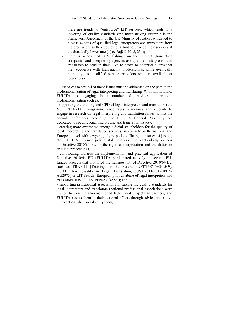- there are trends to "outsource" LIT services, which leads to a lowering of quality standards (the most striking example is the Framework Agreement of the UK Ministry of Justice, which led to a mass exodus of qualified legal interpreters and translators from the profession, as they could not afford to provide their services at the drastically lower rates) (see Bajčić 2015, 234);
- there is widespread "CV fishing" on the internet (translation companies and interpreting agencies ask qualified interpreters and translators to send in their CVs to prove to potential clients that they cooperate with high-quality professionals, while eventually recruiting less qualified service providers who are available at lower fees).

Needless to say, all of these issues must be addressed on the path to the professionalization of legal interpreting and translating. With this in mind, EULITA, is engaging in a number of activities to promote professionalization such as:

*-* supporting the training and CPD of legal interpreters and translators (the VOLUNTARIAT programme encourages academics and students to engage in research on legal interpreting and translation issues, whilst the annual conferences preceding the EULITA General Assembly are dedicated to specific legal interpreting and translation issues);

*-* creating more awareness among judicial stakeholders for the quality of legal interpreting and translation services (in contacts on the national and European level with lawyers, judges, police officers, ministries of justice, etc., EULITA informed judicial stakeholders of the practical implications of Directive 2010/64 EU on the right to interpretation and translation in criminal proceedings);

- contributing towards the implementation and practical application of Directive 2010/64 EU (EULITA participated actively in several EUfunded projects that promoted the transposition of Directive 2010/64 EU such as TRAFUT [Training for the Future, JUST/JPEN/AG/1549], QUALETRA [Quality in Legal Translation, JUST/2011-2012/JPEN/ AG2975] or LIT Search [European pilot database of legal interpreters and translators, JUST/2013/JPEN/AG/4556]); and

- supporting professional associations in raising the quality standards for legal interpreters and translators (national professional associations were invited to join the aforementioned EU-funded projects as partners, and EULITA assists them in their national efforts through advice and active intervention when so asked by them).